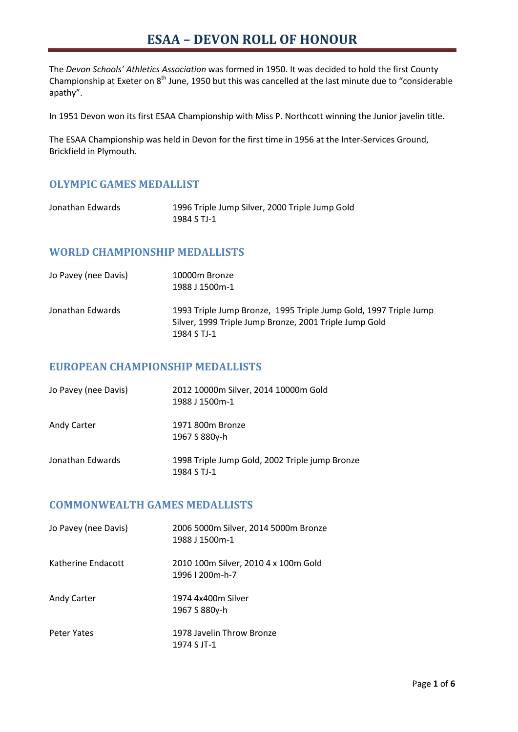The *Devon Schools' Athletics Association* was formed in 1950. It was decided to hold the first County Championship at Exeter on  $8<sup>th</sup>$  June, 1950 but this was cancelled at the last minute due to "considerable apathy".

In 1951 Devon won its first ESAA Championship with Miss P. Northcott winning the Junior javelin title.

The ESAA Championship was held in Devon for the first time in 1956 at the Inter-Services Ground, Brickfield in Plymouth.

### **OLYMPIC GAMES MEDALLIST**

| Jonathan Edwards | 1996 Triple Jump Silver, 2000 Triple Jump Gold |
|------------------|------------------------------------------------|
|                  | 1984 S TJ-1                                    |

### **WORLD CHAMPIONSHIP MEDALLISTS**

| Jo Pavey (nee Davis) | 10000m Bronze<br>1988 J 1500m-1                                                                                                           |
|----------------------|-------------------------------------------------------------------------------------------------------------------------------------------|
| Jonathan Edwards     | 1993 Triple Jump Bronze, 1995 Triple Jump Gold, 1997 Triple Jump<br>Silver, 1999 Triple Jump Bronze, 2001 Triple Jump Gold<br>1984 S TJ-1 |

#### **EUROPEAN CHAMPIONSHIP MEDALLISTS**

| Jo Pavey (nee Davis) | 2012 10000m Silver, 2014 10000m Gold<br>1988 J 1500m-1        |
|----------------------|---------------------------------------------------------------|
| <b>Andy Carter</b>   | 1971 800m Bronze<br>1967 S 880y-h                             |
| Jonathan Edwards     | 1998 Triple Jump Gold, 2002 Triple jump Bronze<br>1984 S TJ-1 |

### **COMMONWEALTH GAMES MEDALLISTS**

| Jo Pavey (nee Davis) | 2006 5000m Silver, 2014 5000m Bronze<br>1988 J 1500m-1   |
|----------------------|----------------------------------------------------------|
| Katherine Endacott   | 2010 100m Silver, 2010 4 x 100m Gold<br>1996   200 m-h-7 |
| <b>Andy Carter</b>   | 1974 4x400m Silver<br>1967 S 880y-h                      |
| Peter Yates          | 1978 Javelin Throw Bronze<br>1974 S IT-1                 |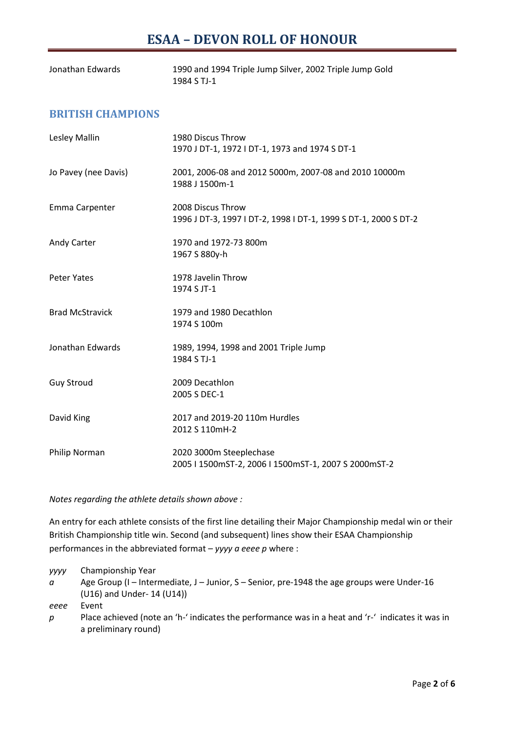| Jonathan Edwards | 1990 and 1994 Triple Jump Silver, 2002 Triple Jump Gold |
|------------------|---------------------------------------------------------|
|                  | 1984 S TJ-1                                             |

### **BRITISH CHAMPIONS**

| Lesley Mallin          | 1980 Discus Throw<br>1970 J DT-1, 1972 I DT-1, 1973 and 1974 S DT-1                  |
|------------------------|--------------------------------------------------------------------------------------|
| Jo Pavey (nee Davis)   | 2001, 2006-08 and 2012 5000m, 2007-08 and 2010 10000m<br>1988 J 1500m-1              |
| Emma Carpenter         | 2008 Discus Throw<br>1996 J DT-3, 1997 I DT-2, 1998 I DT-1, 1999 S DT-1, 2000 S DT-2 |
| Andy Carter            | 1970 and 1972-73 800m<br>1967 S 880y-h                                               |
| <b>Peter Yates</b>     | 1978 Javelin Throw<br>1974 S JT-1                                                    |
| <b>Brad McStravick</b> | 1979 and 1980 Decathlon<br>1974 S 100m                                               |
| Jonathan Edwards       | 1989, 1994, 1998 and 2001 Triple Jump<br>1984 S TJ-1                                 |
| <b>Guy Stroud</b>      | 2009 Decathlon<br>2005 S DEC-1                                                       |
| David King             | 2017 and 2019-20 110m Hurdles<br>2012 S 110mH-2                                      |
| Philip Norman          | 2020 3000m Steeplechase<br>2005   1500mST-2, 2006   1500mST-1, 2007 S 2000mST-2      |

*Notes regarding the athlete details shown above :*

An entry for each athlete consists of the first line detailing their Major Championship medal win or their British Championship title win. Second (and subsequent) lines show their ESAA Championship performances in the abbreviated format – *yyyy a eeee p* where :

*yyyy* Championship Year

*a* Age Group (I – Intermediate, J – Junior, S – Senior, pre-1948 the age groups were Under-16 (U16) and Under- 14 (U14))

*eeee* Event

*p* Place achieved (note an 'h-' indicates the performance was in a heat and 'r-' indicates it was in a preliminary round)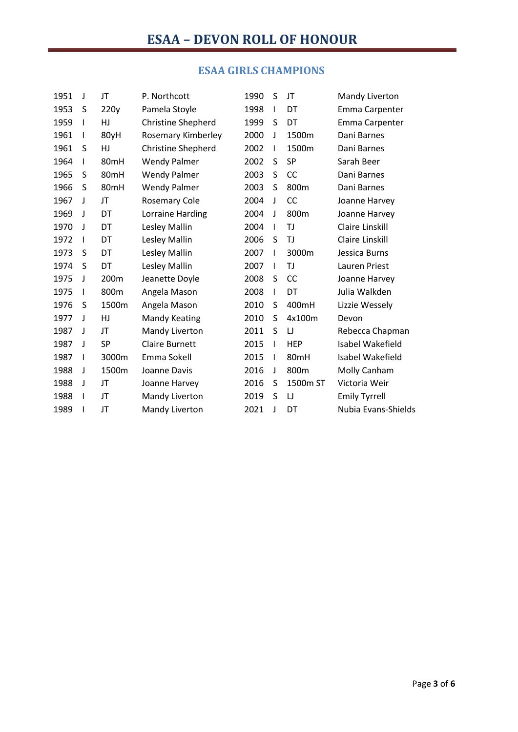## **ESAA GIRLS CHAMPIONS**

| 1951 | J | JT        | P. Northcott              | 1990 | S            | JT         | Mandy Liverton       |
|------|---|-----------|---------------------------|------|--------------|------------|----------------------|
| 1953 | S | 220y      | Pamela Stoyle             | 1998 | $\mathbf{I}$ | DT         | Emma Carpenter       |
| 1959 | I | HJ        | <b>Christine Shepherd</b> | 1999 | S            | DT         | Emma Carpenter       |
| 1961 | T | 80yH      | Rosemary Kimberley        | 2000 | J            | 1500m      | Dani Barnes          |
| 1961 | S | HJ        | <b>Christine Shepherd</b> | 2002 | $\mathbf{I}$ | 1500m      | Dani Barnes          |
| 1964 | I | 80mH      | <b>Wendy Palmer</b>       | 2002 | S            | SP         | Sarah Beer           |
| 1965 | S | 80mH      | <b>Wendy Palmer</b>       | 2003 | S            | CC         | Dani Barnes          |
| 1966 | S | 80mH      | <b>Wendy Palmer</b>       | 2003 | S            | 800m       | Dani Barnes          |
| 1967 | J | JT        | <b>Rosemary Cole</b>      | 2004 | J            | CC         | Joanne Harvey        |
| 1969 | J | DT        | Lorraine Harding          | 2004 | J            | 800m       | Joanne Harvey        |
| 1970 | J | DT        | Lesley Mallin             | 2004 | $\mathsf{l}$ | TJ         | Claire Linskill      |
| 1972 | I | DT        | Lesley Mallin             | 2006 | S            | TJ         | Claire Linskill      |
| 1973 | S | DT        | Lesley Mallin             | 2007 | $\mathbf{I}$ | 3000m      | Jessica Burns        |
| 1974 | S | DT        | Lesley Mallin             | 2007 | $\mathbf{I}$ | TJ         | Lauren Priest        |
| 1975 | J | 200m      | Jeanette Doyle            | 2008 | S            | CC         | Joanne Harvey        |
| 1975 | I | 800m      | Angela Mason              | 2008 | $\mathbf{I}$ | DT         | Julia Walkden        |
| 1976 | S | 1500m     | Angela Mason              | 2010 | S            | 400mH      | Lizzie Wessely       |
| 1977 | J | HJ        | <b>Mandy Keating</b>      | 2010 | S            | 4x100m     | Devon                |
| 1987 | J | JT        | Mandy Liverton            | 2011 | S            | IJ         | Rebecca Chapman      |
| 1987 | J | <b>SP</b> | <b>Claire Burnett</b>     | 2015 | $\mathbf{I}$ | <b>HEP</b> | Isabel Wakefield     |
| 1987 | I | 3000m     | Emma Sokell               | 2015 | $\mathbf{I}$ | 80mH       | Isabel Wakefield     |
| 1988 | J | 1500m     | Joanne Davis              | 2016 | J            | 800m       | Molly Canham         |
| 1988 | J | JT        | Joanne Harvey             | 2016 | S            | 1500m ST   | Victoria Weir        |
| 1988 | I | JT        | Mandy Liverton            | 2019 | S            | IJ         | <b>Emily Tyrrell</b> |
| 1989 |   | JT        | Mandy Liverton            | 2021 | J            | DT         | Nubia Evans-Shields  |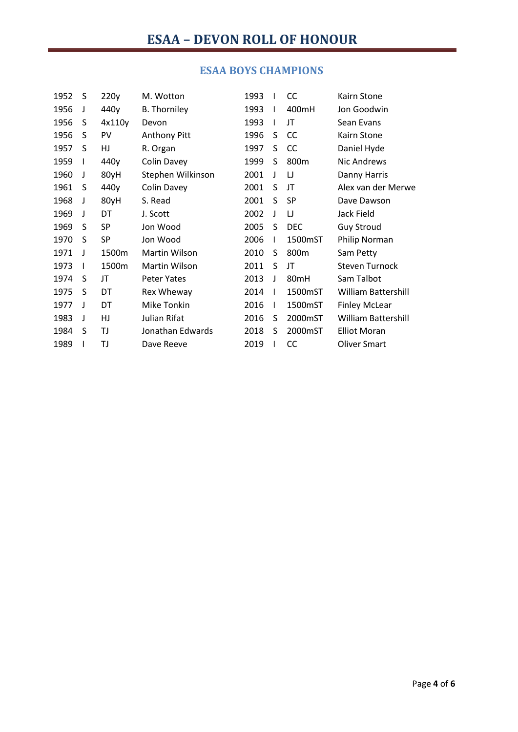| 1952 | S | 220y      | M. Wotton           | 1993 |              | <b>CC</b>  | Kairn Stone                |
|------|---|-----------|---------------------|------|--------------|------------|----------------------------|
| 1956 | J | 440y      | <b>B.</b> Thorniley | 1993 | $\mathsf{l}$ | 400mH      | Jon Goodwin                |
| 1956 | S | 4x110y    | Devon               | 1993 | I            | JT         | Sean Evans                 |
| 1956 | S | PV        | <b>Anthony Pitt</b> | 1996 | S            | CC         | Kairn Stone                |
| 1957 | S | HJ        | R. Organ            | 1997 | S            | CC         | Daniel Hyde                |
| 1959 | I | 440y      | Colin Davey         | 1999 | S            | 800m       | Nic Andrews                |
| 1960 | J | 80yH      | Stephen Wilkinson   | 2001 | J            | IJ         | Danny Harris               |
| 1961 | S | 440y      | Colin Davey         | 2001 | S            | JT         | Alex van der Merwe         |
| 1968 | J | 80yH      | S. Read             | 2001 | S            | SP         | Dave Dawson                |
| 1969 | J | DT        | J. Scott            | 2002 | J            | IJ         | Jack Field                 |
| 1969 | S | <b>SP</b> | Jon Wood            | 2005 | S            | <b>DEC</b> | <b>Guy Stroud</b>          |
| 1970 | S | SP        | Jon Wood            | 2006 | L            | 1500mST    | Philip Norman              |
| 1971 | J | 1500m     | Martin Wilson       | 2010 | S            | 800m       | Sam Petty                  |
| 1973 | I | 1500m     | Martin Wilson       | 2011 | S            | JT         | <b>Steven Turnock</b>      |
| 1974 | S | JT        | <b>Peter Yates</b>  | 2013 | J            | 80mH       | Sam Talbot                 |
| 1975 | S | DT        | Rex Wheway          | 2014 | $\mathbf{I}$ | 1500mST    | <b>William Battershill</b> |
| 1977 | J | DT        | <b>Mike Tonkin</b>  | 2016 | I            | 1500mST    | <b>Finley McLear</b>       |
| 1983 | J | HJ        | Julian Rifat        | 2016 | S            | 2000mST    | <b>William Battershill</b> |
| 1984 | S | ΤJ        | Jonathan Edwards    | 2018 | S            | 2000mST    | <b>Elliot Moran</b>        |
| 1989 |   | ΤJ        | Dave Reeve          | 2019 |              | CC         | <b>Oliver Smart</b>        |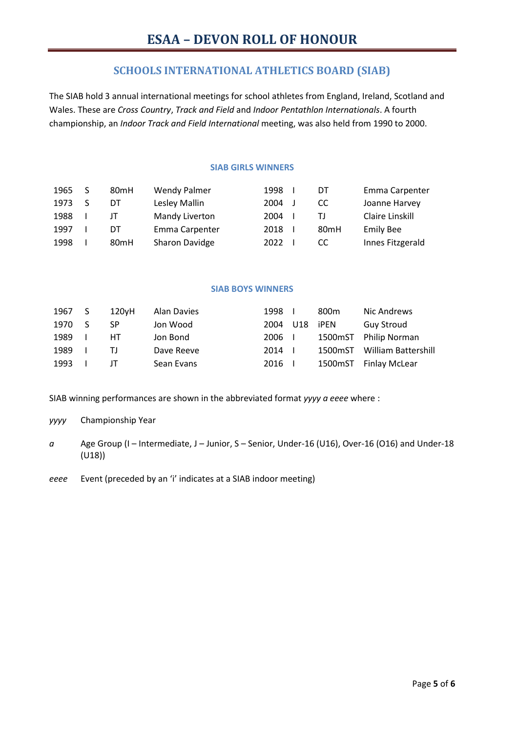### **SCHOOLS INTERNATIONAL ATHLETICS BOARD (SIAB)**

The SIAB hold 3 annual international meetings for school athletes from England, Ireland, Scotland and Wales. These are *Cross Country*, *Track and Field* and *Indoor Pentathlon Internationals*. A fourth championship, an *Indoor Track and Field International* meeting, was also held from 1990 to 2000.

#### **SIAB GIRLS WINNERS**

| 1965 | 80 <sub>mH</sub> | <b>Wendy Palmer</b> | 1998 | DT               | Emma Carpenter   |
|------|------------------|---------------------|------|------------------|------------------|
| 1973 | DT               | Lesley Mallin       | 2004 | CC               | Joanne Harvey    |
| 1988 | Ш                | Mandy Liverton      | 2004 | ΤI               | Claire Linskill  |
| 1997 | DT               | Emma Carpenter      | 2018 | 80 <sub>mH</sub> | <b>Emily Bee</b> |
| 1998 | 80 <sub>mH</sub> | Sharon Davidge      | 2022 | CC               | Innes Fitzgerald |

#### **SIAB BOYS WINNERS**

| 1967 | S. | 120vH | Alan Davies | 1998   |     | 800m    | Nic Andrews          |
|------|----|-------|-------------|--------|-----|---------|----------------------|
| 1970 | S. | SP    | Jon Wood    | 2004   | U18 | iPEN    | <b>Guy Stroud</b>    |
| 1989 |    | HT.   | Jon Bond    | 2006 I |     | 1500mST | Philip Norman        |
| 1989 |    | ΤI    | Dave Reeve  | 2014   |     | 1500mST | William Battershill  |
| 1993 |    | IТ    | Sean Evans  | 2016   |     | 1500mST | <b>Finlay McLear</b> |

SIAB winning performances are shown in the abbreviated format *yyyy a eeee* where :

- *yyyy* Championship Year
- *a* Age Group (I Intermediate, J Junior, S Senior, Under-16 (U16), Over-16 (O16) and Under-18 (U18))
- *eeee* Event (preceded by an 'i' indicates at a SIAB indoor meeting)